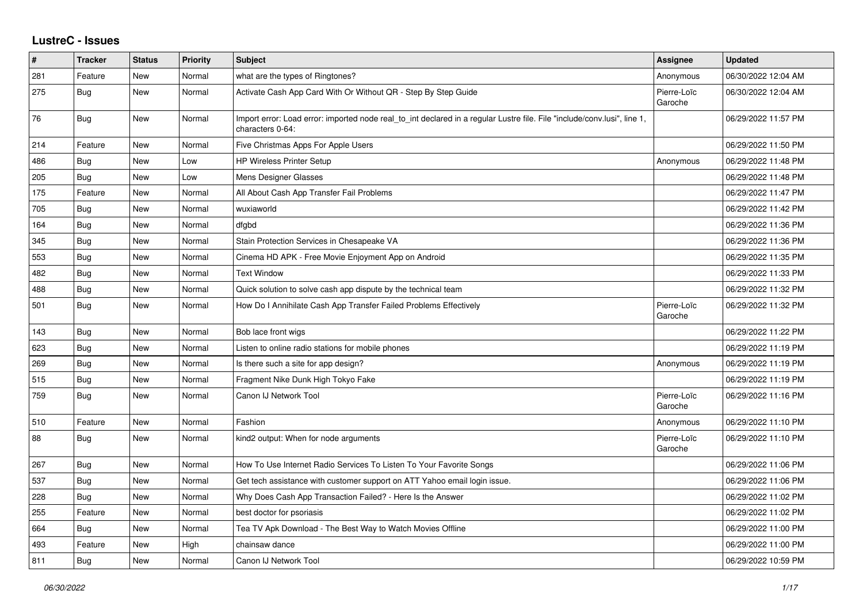## **LustreC - Issues**

| ∦   | <b>Tracker</b> | <b>Status</b> | <b>Priority</b> | <b>Subject</b>                                                                                                                               | <b>Assignee</b>        | <b>Updated</b>      |
|-----|----------------|---------------|-----------------|----------------------------------------------------------------------------------------------------------------------------------------------|------------------------|---------------------|
| 281 | Feature        | <b>New</b>    | Normal          | what are the types of Ringtones?                                                                                                             | Anonymous              | 06/30/2022 12:04 AM |
| 275 | Bug            | New           | Normal          | Activate Cash App Card With Or Without QR - Step By Step Guide                                                                               | Pierre-Loïc<br>Garoche | 06/30/2022 12:04 AM |
| 76  | Bug            | <b>New</b>    | Normal          | Import error: Load error: imported node real to int declared in a regular Lustre file. File "include/conv.lusi", line 1,<br>characters 0-64: |                        | 06/29/2022 11:57 PM |
| 214 | Feature        | New           | Normal          | Five Christmas Apps For Apple Users                                                                                                          |                        | 06/29/2022 11:50 PM |
| 486 | Bug            | New           | Low             | <b>HP Wireless Printer Setup</b>                                                                                                             | Anonymous              | 06/29/2022 11:48 PM |
| 205 | <b>Bug</b>     | <b>New</b>    | Low             | Mens Designer Glasses                                                                                                                        |                        | 06/29/2022 11:48 PM |
| 175 | Feature        | <b>New</b>    | Normal          | All About Cash App Transfer Fail Problems                                                                                                    |                        | 06/29/2022 11:47 PM |
| 705 | Bug            | New           | Normal          | wuxiaworld                                                                                                                                   |                        | 06/29/2022 11:42 PM |
| 164 | <b>Bug</b>     | <b>New</b>    | Normal          | dfgbd                                                                                                                                        |                        | 06/29/2022 11:36 PM |
| 345 | Bug            | New           | Normal          | Stain Protection Services in Chesapeake VA                                                                                                   |                        | 06/29/2022 11:36 PM |
| 553 | <b>Bug</b>     | New           | Normal          | Cinema HD APK - Free Movie Enjoyment App on Android                                                                                          |                        | 06/29/2022 11:35 PM |
| 482 | Bug            | New           | Normal          | <b>Text Window</b>                                                                                                                           |                        | 06/29/2022 11:33 PM |
| 488 | <b>Bug</b>     | New           | Normal          | Quick solution to solve cash app dispute by the technical team                                                                               |                        | 06/29/2022 11:32 PM |
| 501 | <b>Bug</b>     | New           | Normal          | How Do I Annihilate Cash App Transfer Failed Problems Effectively                                                                            | Pierre-Loïc<br>Garoche | 06/29/2022 11:32 PM |
| 143 | Bug            | <b>New</b>    | Normal          | Bob lace front wigs                                                                                                                          |                        | 06/29/2022 11:22 PM |
| 623 | <b>Bug</b>     | <b>New</b>    | Normal          | Listen to online radio stations for mobile phones                                                                                            |                        | 06/29/2022 11:19 PM |
| 269 | Bug            | New           | Normal          | Is there such a site for app design?                                                                                                         | Anonymous              | 06/29/2022 11:19 PM |
| 515 | Bug            | <b>New</b>    | Normal          | Fragment Nike Dunk High Tokyo Fake                                                                                                           |                        | 06/29/2022 11:19 PM |
| 759 | <b>Bug</b>     | New           | Normal          | Canon IJ Network Tool                                                                                                                        | Pierre-Loïc<br>Garoche | 06/29/2022 11:16 PM |
| 510 | Feature        | New           | Normal          | Fashion                                                                                                                                      | Anonymous              | 06/29/2022 11:10 PM |
| 88  | Bug            | <b>New</b>    | Normal          | kind2 output: When for node arguments                                                                                                        | Pierre-Loïc<br>Garoche | 06/29/2022 11:10 PM |
| 267 | Bug            | New           | Normal          | How To Use Internet Radio Services To Listen To Your Favorite Songs                                                                          |                        | 06/29/2022 11:06 PM |
| 537 | Bug            | New           | Normal          | Get tech assistance with customer support on ATT Yahoo email login issue.                                                                    |                        | 06/29/2022 11:06 PM |
| 228 | Bug            | New           | Normal          | Why Does Cash App Transaction Failed? - Here Is the Answer                                                                                   |                        | 06/29/2022 11:02 PM |
| 255 | Feature        | New           | Normal          | best doctor for psoriasis                                                                                                                    |                        | 06/29/2022 11:02 PM |
| 664 | Bug            | New           | Normal          | Tea TV Apk Download - The Best Way to Watch Movies Offline                                                                                   |                        | 06/29/2022 11:00 PM |
| 493 | Feature        | New           | High            | chainsaw dance                                                                                                                               |                        | 06/29/2022 11:00 PM |
| 811 | Bug            | New           | Normal          | Canon IJ Network Tool                                                                                                                        |                        | 06/29/2022 10:59 PM |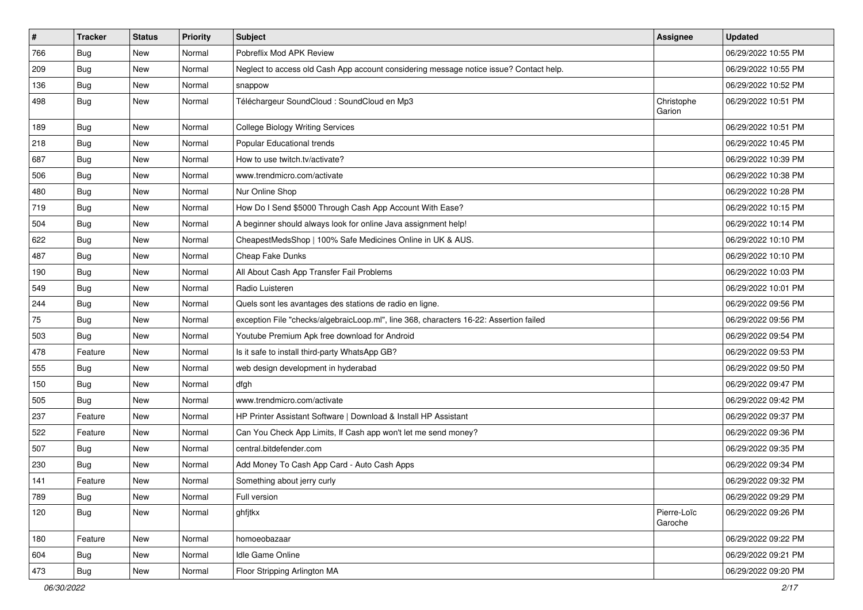| $\vert$ # | <b>Tracker</b> | <b>Status</b> | <b>Priority</b> | Subject                                                                                | <b>Assignee</b>        | <b>Updated</b>      |
|-----------|----------------|---------------|-----------------|----------------------------------------------------------------------------------------|------------------------|---------------------|
| 766       | <b>Bug</b>     | New           | Normal          | Pobreflix Mod APK Review                                                               |                        | 06/29/2022 10:55 PM |
| 209       | Bug            | New           | Normal          | Neglect to access old Cash App account considering message notice issue? Contact help. |                        | 06/29/2022 10:55 PM |
| 136       | Bug            | New           | Normal          | snappow                                                                                |                        | 06/29/2022 10:52 PM |
| 498       | <b>Bug</b>     | New           | Normal          | Téléchargeur SoundCloud : SoundCloud en Mp3                                            | Christophe<br>Garion   | 06/29/2022 10:51 PM |
| 189       | Bug            | New           | Normal          | <b>College Biology Writing Services</b>                                                |                        | 06/29/2022 10:51 PM |
| 218       | <b>Bug</b>     | New           | Normal          | Popular Educational trends                                                             |                        | 06/29/2022 10:45 PM |
| 687       | Bug            | New           | Normal          | How to use twitch.tv/activate?                                                         |                        | 06/29/2022 10:39 PM |
| 506       | <b>Bug</b>     | New           | Normal          | www.trendmicro.com/activate                                                            |                        | 06/29/2022 10:38 PM |
| 480       | <b>Bug</b>     | New           | Normal          | Nur Online Shop                                                                        |                        | 06/29/2022 10:28 PM |
| 719       | Bug            | New           | Normal          | How Do I Send \$5000 Through Cash App Account With Ease?                               |                        | 06/29/2022 10:15 PM |
| 504       | <b>Bug</b>     | New           | Normal          | A beginner should always look for online Java assignment help!                         |                        | 06/29/2022 10:14 PM |
| 622       | Bug            | New           | Normal          | CheapestMedsShop   100% Safe Medicines Online in UK & AUS.                             |                        | 06/29/2022 10:10 PM |
| 487       | <b>Bug</b>     | New           | Normal          | Cheap Fake Dunks                                                                       |                        | 06/29/2022 10:10 PM |
| 190       | Bug            | New           | Normal          | All About Cash App Transfer Fail Problems                                              |                        | 06/29/2022 10:03 PM |
| 549       | <b>Bug</b>     | New           | Normal          | Radio Luisteren                                                                        |                        | 06/29/2022 10:01 PM |
| 244       | <b>Bug</b>     | New           | Normal          | Quels sont les avantages des stations de radio en ligne.                               |                        | 06/29/2022 09:56 PM |
| 75        | Bug            | New           | Normal          | exception File "checks/algebraicLoop.ml", line 368, characters 16-22: Assertion failed |                        | 06/29/2022 09:56 PM |
| 503       | <b>Bug</b>     | New           | Normal          | Youtube Premium Apk free download for Android                                          |                        | 06/29/2022 09:54 PM |
| 478       | Feature        | New           | Normal          | Is it safe to install third-party WhatsApp GB?                                         |                        | 06/29/2022 09:53 PM |
| 555       | Bug            | New           | Normal          | web design development in hyderabad                                                    |                        | 06/29/2022 09:50 PM |
| 150       | <b>Bug</b>     | New           | Normal          | dfgh                                                                                   |                        | 06/29/2022 09:47 PM |
| 505       | <b>Bug</b>     | New           | Normal          | www.trendmicro.com/activate                                                            |                        | 06/29/2022 09:42 PM |
| 237       | Feature        | New           | Normal          | HP Printer Assistant Software   Download & Install HP Assistant                        |                        | 06/29/2022 09:37 PM |
| 522       | Feature        | New           | Normal          | Can You Check App Limits, If Cash app won't let me send money?                         |                        | 06/29/2022 09:36 PM |
| 507       | Bug            | New           | Normal          | central.bitdefender.com                                                                |                        | 06/29/2022 09:35 PM |
| 230       | <b>Bug</b>     | New           | Normal          | Add Money To Cash App Card - Auto Cash Apps                                            |                        | 06/29/2022 09:34 PM |
| 141       | Feature        | New           | Normal          | Something about jerry curly                                                            |                        | 06/29/2022 09:32 PM |
| 789       | Bug            | New           | Normal          | Full version                                                                           |                        | 06/29/2022 09:29 PM |
| 120       | <b>Bug</b>     | New           | Normal          | ghfjtkx                                                                                | Pierre-Loïc<br>Garoche | 06/29/2022 09:26 PM |
| 180       | Feature        | New           | Normal          | homoeobazaar                                                                           |                        | 06/29/2022 09:22 PM |
| 604       | <b>Bug</b>     | New           | Normal          | Idle Game Online                                                                       |                        | 06/29/2022 09:21 PM |
| 473       | <b>Bug</b>     | New           | Normal          | Floor Stripping Arlington MA                                                           |                        | 06/29/2022 09:20 PM |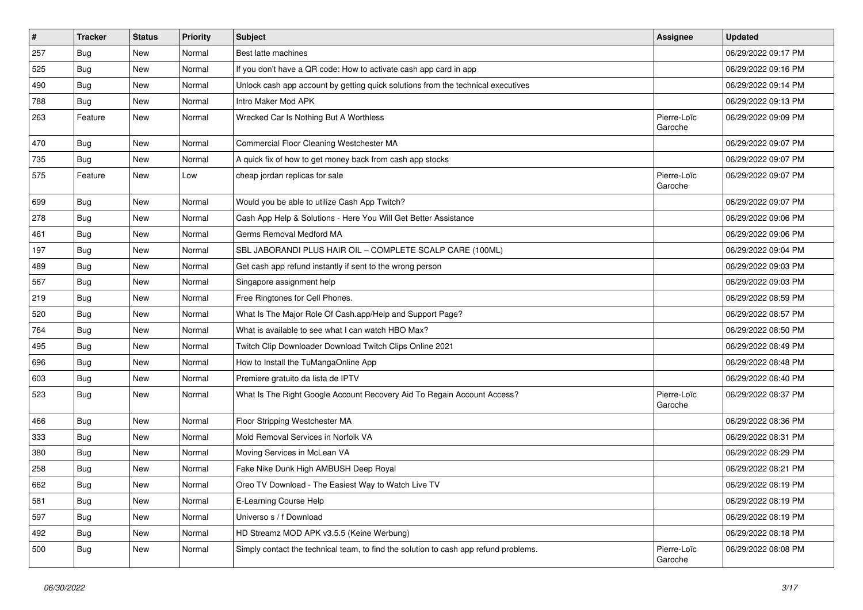| $\vert$ # | <b>Tracker</b> | <b>Status</b> | <b>Priority</b> | Subject                                                                              | <b>Assignee</b>        | <b>Updated</b>      |
|-----------|----------------|---------------|-----------------|--------------------------------------------------------------------------------------|------------------------|---------------------|
| 257       | <b>Bug</b>     | New           | Normal          | Best latte machines                                                                  |                        | 06/29/2022 09:17 PM |
| 525       | <b>Bug</b>     | New           | Normal          | If you don't have a QR code: How to activate cash app card in app                    |                        | 06/29/2022 09:16 PM |
| 490       | Bug            | New           | Normal          | Unlock cash app account by getting quick solutions from the technical executives     |                        | 06/29/2022 09:14 PM |
| 788       | <b>Bug</b>     | New           | Normal          | Intro Maker Mod APK                                                                  |                        | 06/29/2022 09:13 PM |
| 263       | Feature        | New           | Normal          | Wrecked Car Is Nothing But A Worthless                                               | Pierre-Loïc<br>Garoche | 06/29/2022 09:09 PM |
| 470       | Bug            | New           | Normal          | Commercial Floor Cleaning Westchester MA                                             |                        | 06/29/2022 09:07 PM |
| 735       | Bug            | New           | Normal          | A quick fix of how to get money back from cash app stocks                            |                        | 06/29/2022 09:07 PM |
| 575       | Feature        | New           | Low             | cheap jordan replicas for sale                                                       | Pierre-Loïc<br>Garoche | 06/29/2022 09:07 PM |
| 699       | <b>Bug</b>     | New           | Normal          | Would you be able to utilize Cash App Twitch?                                        |                        | 06/29/2022 09:07 PM |
| 278       | <b>Bug</b>     | New           | Normal          | Cash App Help & Solutions - Here You Will Get Better Assistance                      |                        | 06/29/2022 09:06 PM |
| 461       | <b>Bug</b>     | <b>New</b>    | Normal          | Germs Removal Medford MA                                                             |                        | 06/29/2022 09:06 PM |
| 197       | <b>Bug</b>     | New           | Normal          | SBL JABORANDI PLUS HAIR OIL - COMPLETE SCALP CARE (100ML)                            |                        | 06/29/2022 09:04 PM |
| 489       | <b>Bug</b>     | New           | Normal          | Get cash app refund instantly if sent to the wrong person                            |                        | 06/29/2022 09:03 PM |
| 567       | <b>Bug</b>     | New           | Normal          | Singapore assignment help                                                            |                        | 06/29/2022 09:03 PM |
| 219       | <b>Bug</b>     | New           | Normal          | Free Ringtones for Cell Phones.                                                      |                        | 06/29/2022 08:59 PM |
| 520       | Bug            | New           | Normal          | What Is The Major Role Of Cash.app/Help and Support Page?                            |                        | 06/29/2022 08:57 PM |
| 764       | <b>Bug</b>     | New           | Normal          | What is available to see what I can watch HBO Max?                                   |                        | 06/29/2022 08:50 PM |
| 495       | Bug            | New           | Normal          | Twitch Clip Downloader Download Twitch Clips Online 2021                             |                        | 06/29/2022 08:49 PM |
| 696       | Bug            | New           | Normal          | How to Install the TuMangaOnline App                                                 |                        | 06/29/2022 08:48 PM |
| 603       | <b>Bug</b>     | New           | Normal          | Premiere gratuito da lista de IPTV                                                   |                        | 06/29/2022 08:40 PM |
| 523       | <b>Bug</b>     | New           | Normal          | What Is The Right Google Account Recovery Aid To Regain Account Access?              | Pierre-Loïc<br>Garoche | 06/29/2022 08:37 PM |
| 466       | Bug            | New           | Normal          | Floor Stripping Westchester MA                                                       |                        | 06/29/2022 08:36 PM |
| 333       | <b>Bug</b>     | <b>New</b>    | Normal          | Mold Removal Services in Norfolk VA                                                  |                        | 06/29/2022 08:31 PM |
| 380       | <b>Bug</b>     | New           | Normal          | Moving Services in McLean VA                                                         |                        | 06/29/2022 08:29 PM |
| 258       | <b>Bug</b>     | New           | Normal          | Fake Nike Dunk High AMBUSH Deep Royal                                                |                        | 06/29/2022 08:21 PM |
| 662       | Bug            | New           | Normal          | Oreo TV Download - The Easiest Way to Watch Live TV                                  |                        | 06/29/2022 08:19 PM |
| 581       | Bug            | New           | Normal          | E-Learning Course Help                                                               |                        | 06/29/2022 08:19 PM |
| 597       | <b>Bug</b>     | New           | Normal          | Universo s / f Download                                                              |                        | 06/29/2022 08:19 PM |
| 492       | <b>Bug</b>     | New           | Normal          | HD Streamz MOD APK v3.5.5 (Keine Werbung)                                            |                        | 06/29/2022 08:18 PM |
| 500       | <b>Bug</b>     | New           | Normal          | Simply contact the technical team, to find the solution to cash app refund problems. | Pierre-Loïc<br>Garoche | 06/29/2022 08:08 PM |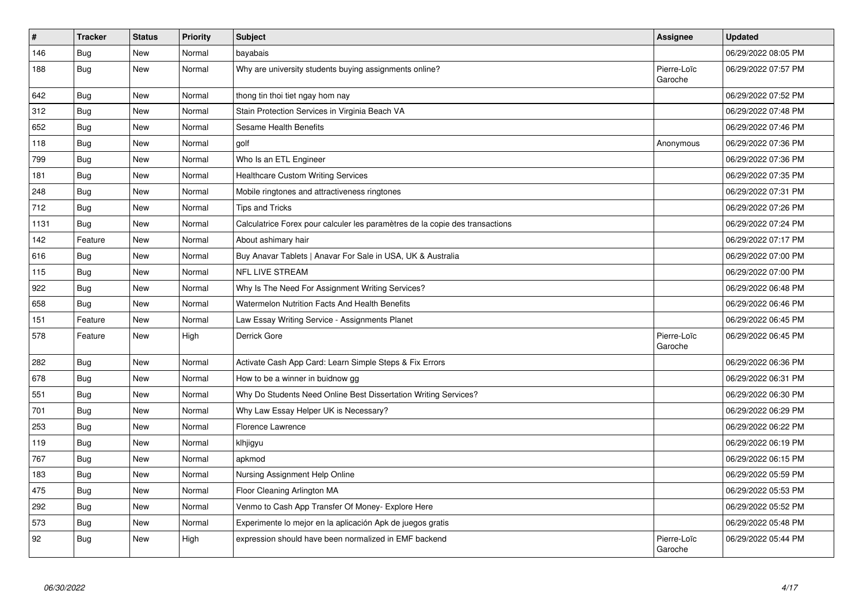| $\vert$ # | <b>Tracker</b> | <b>Status</b> | Priority | <b>Subject</b>                                                               | Assignee               | <b>Updated</b>      |
|-----------|----------------|---------------|----------|------------------------------------------------------------------------------|------------------------|---------------------|
| 146       | Bug            | New           | Normal   | bayabais                                                                     |                        | 06/29/2022 08:05 PM |
| 188       | <b>Bug</b>     | <b>New</b>    | Normal   | Why are university students buying assignments online?                       | Pierre-Loïc<br>Garoche | 06/29/2022 07:57 PM |
| 642       | <b>Bug</b>     | <b>New</b>    | Normal   | thong tin thoi tiet ngay hom nay                                             |                        | 06/29/2022 07:52 PM |
| 312       | <b>Bug</b>     | New           | Normal   | Stain Protection Services in Virginia Beach VA                               |                        | 06/29/2022 07:48 PM |
| 652       | Bug            | New           | Normal   | Sesame Health Benefits                                                       |                        | 06/29/2022 07:46 PM |
| 118       | Bug            | New           | Normal   | golf                                                                         | Anonymous              | 06/29/2022 07:36 PM |
| 799       | Bug            | <b>New</b>    | Normal   | Who Is an ETL Engineer                                                       |                        | 06/29/2022 07:36 PM |
| 181       | <b>Bug</b>     | New           | Normal   | <b>Healthcare Custom Writing Services</b>                                    |                        | 06/29/2022 07:35 PM |
| 248       | <b>Bug</b>     | New           | Normal   | Mobile ringtones and attractiveness ringtones                                |                        | 06/29/2022 07:31 PM |
| 712       | Bug            | New           | Normal   | <b>Tips and Tricks</b>                                                       |                        | 06/29/2022 07:26 PM |
| 1131      | <b>Bug</b>     | New           | Normal   | Calculatrice Forex pour calculer les paramètres de la copie des transactions |                        | 06/29/2022 07:24 PM |
| 142       | Feature        | New           | Normal   | About ashimary hair                                                          |                        | 06/29/2022 07:17 PM |
| 616       | <b>Bug</b>     | New           | Normal   | Buy Anavar Tablets   Anavar For Sale in USA, UK & Australia                  |                        | 06/29/2022 07:00 PM |
| 115       | <b>Bug</b>     | New           | Normal   | NFL LIVE STREAM                                                              |                        | 06/29/2022 07:00 PM |
| 922       | <b>Bug</b>     | <b>New</b>    | Normal   | Why Is The Need For Assignment Writing Services?                             |                        | 06/29/2022 06:48 PM |
| 658       | <b>Bug</b>     | New           | Normal   | Watermelon Nutrition Facts And Health Benefits                               |                        | 06/29/2022 06:46 PM |
| 151       | Feature        | <b>New</b>    | Normal   | Law Essay Writing Service - Assignments Planet                               |                        | 06/29/2022 06:45 PM |
| 578       | Feature        | New           | High     | Derrick Gore                                                                 | Pierre-Loïc<br>Garoche | 06/29/2022 06:45 PM |
| 282       | <b>Bug</b>     | New           | Normal   | Activate Cash App Card: Learn Simple Steps & Fix Errors                      |                        | 06/29/2022 06:36 PM |
| 678       | <b>Bug</b>     | <b>New</b>    | Normal   | How to be a winner in buidnow gg                                             |                        | 06/29/2022 06:31 PM |
| 551       | Bug            | New           | Normal   | Why Do Students Need Online Best Dissertation Writing Services?              |                        | 06/29/2022 06:30 PM |
| 701       | <b>Bug</b>     | New           | Normal   | Why Law Essay Helper UK is Necessary?                                        |                        | 06/29/2022 06:29 PM |
| 253       | <b>Bug</b>     | New           | Normal   | Florence Lawrence                                                            |                        | 06/29/2022 06:22 PM |
| 119       | <b>Bug</b>     | New           | Normal   | klhjigyu                                                                     |                        | 06/29/2022 06:19 PM |
| 767       | <b>Bug</b>     | New           | Normal   | apkmod                                                                       |                        | 06/29/2022 06:15 PM |
| 183       | <b>Bug</b>     | New           | Normal   | Nursing Assignment Help Online                                               |                        | 06/29/2022 05:59 PM |
| 475       | Bug            | New           | Normal   | Floor Cleaning Arlington MA                                                  |                        | 06/29/2022 05:53 PM |
| 292       | <b>Bug</b>     | New           | Normal   | Venmo to Cash App Transfer Of Money- Explore Here                            |                        | 06/29/2022 05:52 PM |
| 573       | Bug            | New           | Normal   | Experimente lo mejor en la aplicación Apk de juegos gratis                   |                        | 06/29/2022 05:48 PM |
| 92        | Bug            | New           | High     | expression should have been normalized in EMF backend                        | Pierre-Loïc<br>Garoche | 06/29/2022 05:44 PM |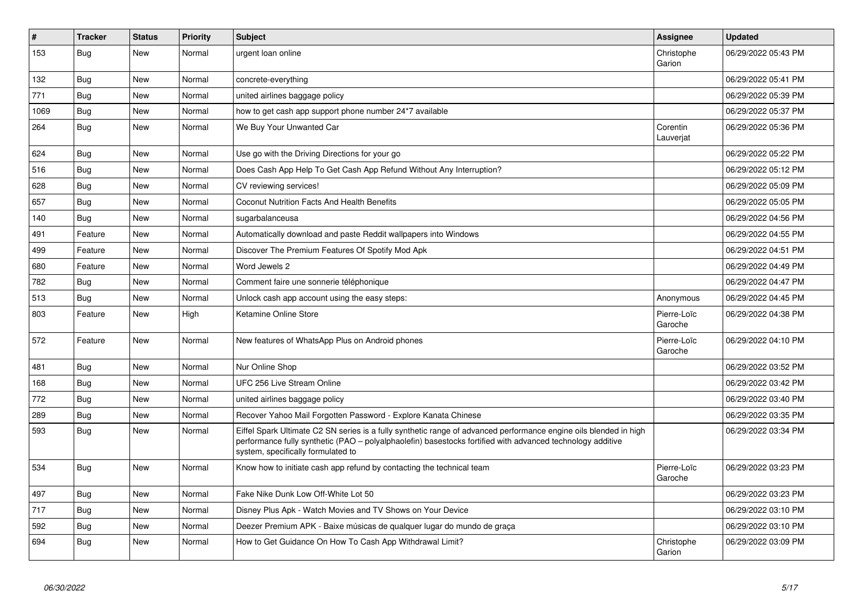| $\vert$ # | <b>Tracker</b> | <b>Status</b> | <b>Priority</b> | <b>Subject</b>                                                                                                                                                                                                                                                        | Assignee               | <b>Updated</b>      |
|-----------|----------------|---------------|-----------------|-----------------------------------------------------------------------------------------------------------------------------------------------------------------------------------------------------------------------------------------------------------------------|------------------------|---------------------|
| 153       | Bug            | New           | Normal          | urgent loan online                                                                                                                                                                                                                                                    | Christophe<br>Garion   | 06/29/2022 05:43 PM |
| 132       | <b>Bug</b>     | New           | Normal          | concrete-everything                                                                                                                                                                                                                                                   |                        | 06/29/2022 05:41 PM |
| 771       | Bug            | New           | Normal          | united airlines baggage policy                                                                                                                                                                                                                                        |                        | 06/29/2022 05:39 PM |
| 1069      | <b>Bug</b>     | New           | Normal          | how to get cash app support phone number 24*7 available                                                                                                                                                                                                               |                        | 06/29/2022 05:37 PM |
| 264       | <b>Bug</b>     | New           | Normal          | We Buy Your Unwanted Car                                                                                                                                                                                                                                              | Corentin<br>Lauverjat  | 06/29/2022 05:36 PM |
| 624       | <b>Bug</b>     | New           | Normal          | Use go with the Driving Directions for your go                                                                                                                                                                                                                        |                        | 06/29/2022 05:22 PM |
| 516       | <b>Bug</b>     | New           | Normal          | Does Cash App Help To Get Cash App Refund Without Any Interruption?                                                                                                                                                                                                   |                        | 06/29/2022 05:12 PM |
| 628       | Bug            | New           | Normal          | CV reviewing services!                                                                                                                                                                                                                                                |                        | 06/29/2022 05:09 PM |
| 657       | Bug            | New           | Normal          | Coconut Nutrition Facts And Health Benefits                                                                                                                                                                                                                           |                        | 06/29/2022 05:05 PM |
| 140       | <b>Bug</b>     | New           | Normal          | sugarbalanceusa                                                                                                                                                                                                                                                       |                        | 06/29/2022 04:56 PM |
| 491       | Feature        | New           | Normal          | Automatically download and paste Reddit wallpapers into Windows                                                                                                                                                                                                       |                        | 06/29/2022 04:55 PM |
| 499       | Feature        | New           | Normal          | Discover The Premium Features Of Spotify Mod Apk                                                                                                                                                                                                                      |                        | 06/29/2022 04:51 PM |
| 680       | Feature        | New           | Normal          | Word Jewels 2                                                                                                                                                                                                                                                         |                        | 06/29/2022 04:49 PM |
| 782       | <b>Bug</b>     | New           | Normal          | Comment faire une sonnerie téléphonique                                                                                                                                                                                                                               |                        | 06/29/2022 04:47 PM |
| 513       | Bug            | New           | Normal          | Unlock cash app account using the easy steps:                                                                                                                                                                                                                         | Anonymous              | 06/29/2022 04:45 PM |
| 803       | Feature        | New           | High            | Ketamine Online Store                                                                                                                                                                                                                                                 | Pierre-Loïc<br>Garoche | 06/29/2022 04:38 PM |
| 572       | Feature        | <b>New</b>    | Normal          | New features of WhatsApp Plus on Android phones                                                                                                                                                                                                                       | Pierre-Loïc<br>Garoche | 06/29/2022 04:10 PM |
| 481       | <b>Bug</b>     | <b>New</b>    | Normal          | Nur Online Shop                                                                                                                                                                                                                                                       |                        | 06/29/2022 03:52 PM |
| 168       | Bug            | New           | Normal          | UFC 256 Live Stream Online                                                                                                                                                                                                                                            |                        | 06/29/2022 03:42 PM |
| 772       | Bug            | New           | Normal          | united airlines baggage policy                                                                                                                                                                                                                                        |                        | 06/29/2022 03:40 PM |
| 289       | Bug            | New           | Normal          | Recover Yahoo Mail Forgotten Password - Explore Kanata Chinese                                                                                                                                                                                                        |                        | 06/29/2022 03:35 PM |
| 593       | Bug            | New           | Normal          | Eiffel Spark Ultimate C2 SN series is a fully synthetic range of advanced performance engine oils blended in high<br>performance fully synthetic (PAO - polyalphaolefin) basestocks fortified with advanced technology additive<br>system, specifically formulated to |                        | 06/29/2022 03:34 PM |
| 534       | <b>Bug</b>     | <b>New</b>    | Normal          | Know how to initiate cash app refund by contacting the technical team                                                                                                                                                                                                 | Pierre-Loïc<br>Garoche | 06/29/2022 03:23 PM |
| 497       | <b>Bug</b>     | <b>New</b>    | Normal          | Fake Nike Dunk Low Off-White Lot 50                                                                                                                                                                                                                                   |                        | 06/29/2022 03:23 PM |
| 717       | Bug            | <b>New</b>    | Normal          | Disney Plus Apk - Watch Movies and TV Shows on Your Device                                                                                                                                                                                                            |                        | 06/29/2022 03:10 PM |
| 592       | <b>Bug</b>     | New           | Normal          | Deezer Premium APK - Baixe músicas de qualquer lugar do mundo de graça                                                                                                                                                                                                |                        | 06/29/2022 03:10 PM |
| 694       | Bug            | <b>New</b>    | Normal          | How to Get Guidance On How To Cash App Withdrawal Limit?                                                                                                                                                                                                              | Christophe<br>Garion   | 06/29/2022 03:09 PM |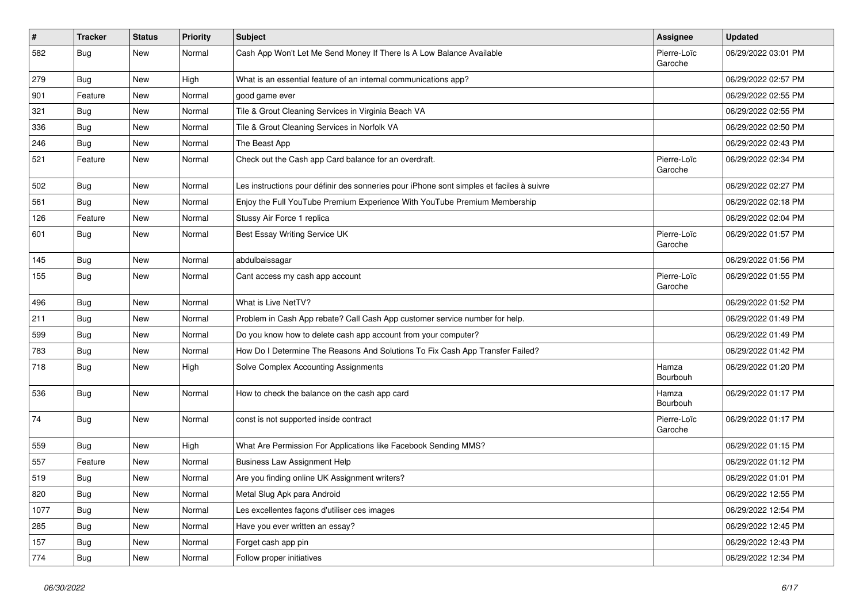| $\sharp$ | <b>Tracker</b> | <b>Status</b> | <b>Priority</b> | Subject                                                                                  | <b>Assignee</b>        | <b>Updated</b>      |
|----------|----------------|---------------|-----------------|------------------------------------------------------------------------------------------|------------------------|---------------------|
| 582      | <b>Bug</b>     | New           | Normal          | Cash App Won't Let Me Send Money If There Is A Low Balance Available                     | Pierre-Loïc<br>Garoche | 06/29/2022 03:01 PM |
| 279      | <b>Bug</b>     | New           | High            | What is an essential feature of an internal communications app?                          |                        | 06/29/2022 02:57 PM |
| 901      | Feature        | New           | Normal          | good game ever                                                                           |                        | 06/29/2022 02:55 PM |
| 321      | Bug            | New           | Normal          | Tile & Grout Cleaning Services in Virginia Beach VA                                      |                        | 06/29/2022 02:55 PM |
| 336      | <b>Bug</b>     | New           | Normal          | Tile & Grout Cleaning Services in Norfolk VA                                             |                        | 06/29/2022 02:50 PM |
| 246      | <b>Bug</b>     | New           | Normal          | The Beast App                                                                            |                        | 06/29/2022 02:43 PM |
| 521      | Feature        | New           | Normal          | Check out the Cash app Card balance for an overdraft.                                    | Pierre-Loïc<br>Garoche | 06/29/2022 02:34 PM |
| 502      | Bug            | New           | Normal          | Les instructions pour définir des sonneries pour iPhone sont simples et faciles à suivre |                        | 06/29/2022 02:27 PM |
| 561      | <b>Bug</b>     | New           | Normal          | Enjoy the Full YouTube Premium Experience With YouTube Premium Membership                |                        | 06/29/2022 02:18 PM |
| 126      | Feature        | New           | Normal          | Stussy Air Force 1 replica                                                               |                        | 06/29/2022 02:04 PM |
| 601      | Bug            | <b>New</b>    | Normal          | Best Essay Writing Service UK                                                            | Pierre-Loïc<br>Garoche | 06/29/2022 01:57 PM |
| 145      | Bug            | New           | Normal          | abdulbaissagar                                                                           |                        | 06/29/2022 01:56 PM |
| 155      | <b>Bug</b>     | New           | Normal          | Cant access my cash app account                                                          | Pierre-Loïc<br>Garoche | 06/29/2022 01:55 PM |
| 496      | Bug            | <b>New</b>    | Normal          | What is Live NetTV?                                                                      |                        | 06/29/2022 01:52 PM |
| 211      | Bug            | New           | Normal          | Problem in Cash App rebate? Call Cash App customer service number for help.              |                        | 06/29/2022 01:49 PM |
| 599      | <b>Bug</b>     | New           | Normal          | Do you know how to delete cash app account from your computer?                           |                        | 06/29/2022 01:49 PM |
| 783      | Bug            | <b>New</b>    | Normal          | How Do I Determine The Reasons And Solutions To Fix Cash App Transfer Failed?            |                        | 06/29/2022 01:42 PM |
| 718      | <b>Bug</b>     | New           | High            | Solve Complex Accounting Assignments                                                     | Hamza<br>Bourbouh      | 06/29/2022 01:20 PM |
| 536      | Bug            | New           | Normal          | How to check the balance on the cash app card                                            | Hamza<br>Bourbouh      | 06/29/2022 01:17 PM |
| 74       | Bug            | <b>New</b>    | Normal          | const is not supported inside contract                                                   | Pierre-Loïc<br>Garoche | 06/29/2022 01:17 PM |
| 559      | <b>Bug</b>     | <b>New</b>    | High            | What Are Permission For Applications like Facebook Sending MMS?                          |                        | 06/29/2022 01:15 PM |
| 557      | Feature        | New           | Normal          | <b>Business Law Assignment Help</b>                                                      |                        | 06/29/2022 01:12 PM |
| 519      | <b>Bug</b>     | New           | Normal          | Are you finding online UK Assignment writers?                                            |                        | 06/29/2022 01:01 PM |
| 820      | <b>Bug</b>     | New           | Normal          | Metal Slug Apk para Android                                                              |                        | 06/29/2022 12:55 PM |
| 1077     | <b>Bug</b>     | New           | Normal          | Les excellentes façons d'utiliser ces images                                             |                        | 06/29/2022 12:54 PM |
| 285      | Bug            | New           | Normal          | Have you ever written an essay?                                                          |                        | 06/29/2022 12:45 PM |
| 157      | <b>Bug</b>     | New           | Normal          | Forget cash app pin                                                                      |                        | 06/29/2022 12:43 PM |
| 774      | <b>Bug</b>     | New           | Normal          | Follow proper initiatives                                                                |                        | 06/29/2022 12:34 PM |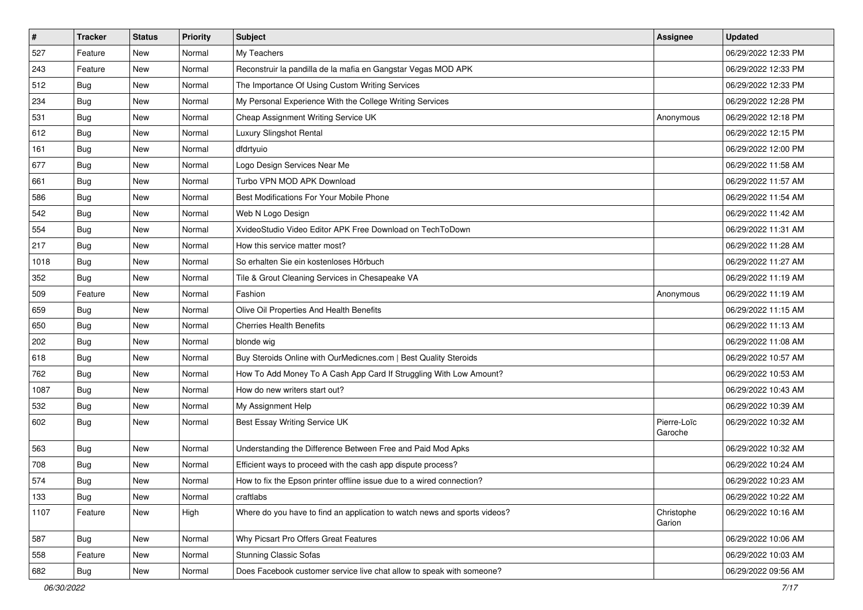| $\vert$ # | <b>Tracker</b> | <b>Status</b> | <b>Priority</b> | Subject                                                                   | <b>Assignee</b>        | <b>Updated</b>      |
|-----------|----------------|---------------|-----------------|---------------------------------------------------------------------------|------------------------|---------------------|
| 527       | Feature        | New           | Normal          | My Teachers                                                               |                        | 06/29/2022 12:33 PM |
| 243       | Feature        | New           | Normal          | Reconstruir la pandilla de la mafia en Gangstar Vegas MOD APK             |                        | 06/29/2022 12:33 PM |
| 512       | Bug            | New           | Normal          | The Importance Of Using Custom Writing Services                           |                        | 06/29/2022 12:33 PM |
| 234       | Bug            | New           | Normal          | My Personal Experience With the College Writing Services                  |                        | 06/29/2022 12:28 PM |
| 531       | Bug            | New           | Normal          | Cheap Assignment Writing Service UK                                       | Anonymous              | 06/29/2022 12:18 PM |
| 612       | <b>Bug</b>     | New           | Normal          | Luxury Slingshot Rental                                                   |                        | 06/29/2022 12:15 PM |
| 161       | Bug            | New           | Normal          | dfdrtyuio                                                                 |                        | 06/29/2022 12:00 PM |
| 677       | <b>Bug</b>     | New           | Normal          | Logo Design Services Near Me                                              |                        | 06/29/2022 11:58 AM |
| 661       | Bug            | New           | Normal          | Turbo VPN MOD APK Download                                                |                        | 06/29/2022 11:57 AM |
| 586       | Bug            | New           | Normal          | Best Modifications For Your Mobile Phone                                  |                        | 06/29/2022 11:54 AM |
| 542       | <b>Bug</b>     | New           | Normal          | Web N Logo Design                                                         |                        | 06/29/2022 11:42 AM |
| 554       | Bug            | New           | Normal          | XvideoStudio Video Editor APK Free Download on TechToDown                 |                        | 06/29/2022 11:31 AM |
| 217       | Bug            | New           | Normal          | How this service matter most?                                             |                        | 06/29/2022 11:28 AM |
| 1018      | <b>Bug</b>     | New           | Normal          | So erhalten Sie ein kostenloses Hörbuch                                   |                        | 06/29/2022 11:27 AM |
| 352       | <b>Bug</b>     | New           | Normal          | Tile & Grout Cleaning Services in Chesapeake VA                           |                        | 06/29/2022 11:19 AM |
| 509       | Feature        | New           | Normal          | Fashion                                                                   | Anonymous              | 06/29/2022 11:19 AM |
| 659       | <b>Bug</b>     | New           | Normal          | Olive Oil Properties And Health Benefits                                  |                        | 06/29/2022 11:15 AM |
| 650       | Bug            | New           | Normal          | <b>Cherries Health Benefits</b>                                           |                        | 06/29/2022 11:13 AM |
| 202       | <b>Bug</b>     | New           | Normal          | blonde wig                                                                |                        | 06/29/2022 11:08 AM |
| 618       | Bug            | New           | Normal          | Buy Steroids Online with OurMedicnes.com   Best Quality Steroids          |                        | 06/29/2022 10:57 AM |
| 762       | <b>Bug</b>     | New           | Normal          | How To Add Money To A Cash App Card If Struggling With Low Amount?        |                        | 06/29/2022 10:53 AM |
| 1087      | Bug            | New           | Normal          | How do new writers start out?                                             |                        | 06/29/2022 10:43 AM |
| 532       | Bug            | New           | Normal          | My Assignment Help                                                        |                        | 06/29/2022 10:39 AM |
| 602       | <b>Bug</b>     | New           | Normal          | Best Essay Writing Service UK                                             | Pierre-Loïc<br>Garoche | 06/29/2022 10:32 AM |
| 563       | Bug            | New           | Normal          | Understanding the Difference Between Free and Paid Mod Apks               |                        | 06/29/2022 10:32 AM |
| 708       | <b>Bug</b>     | New           | Normal          | Efficient ways to proceed with the cash app dispute process?              |                        | 06/29/2022 10:24 AM |
| 574       | <b>Bug</b>     | New           | Normal          | How to fix the Epson printer offline issue due to a wired connection?     |                        | 06/29/2022 10:23 AM |
| 133       | <b>Bug</b>     | New           | Normal          | craftlabs                                                                 |                        | 06/29/2022 10:22 AM |
| 1107      | Feature        | New           | High            | Where do you have to find an application to watch news and sports videos? | Christophe<br>Garion   | 06/29/2022 10:16 AM |
| 587       | Bug            | New           | Normal          | Why Picsart Pro Offers Great Features                                     |                        | 06/29/2022 10:06 AM |
| 558       | Feature        | New           | Normal          | <b>Stunning Classic Sofas</b>                                             |                        | 06/29/2022 10:03 AM |
| 682       | <b>Bug</b>     | New           | Normal          | Does Facebook customer service live chat allow to speak with someone?     |                        | 06/29/2022 09:56 AM |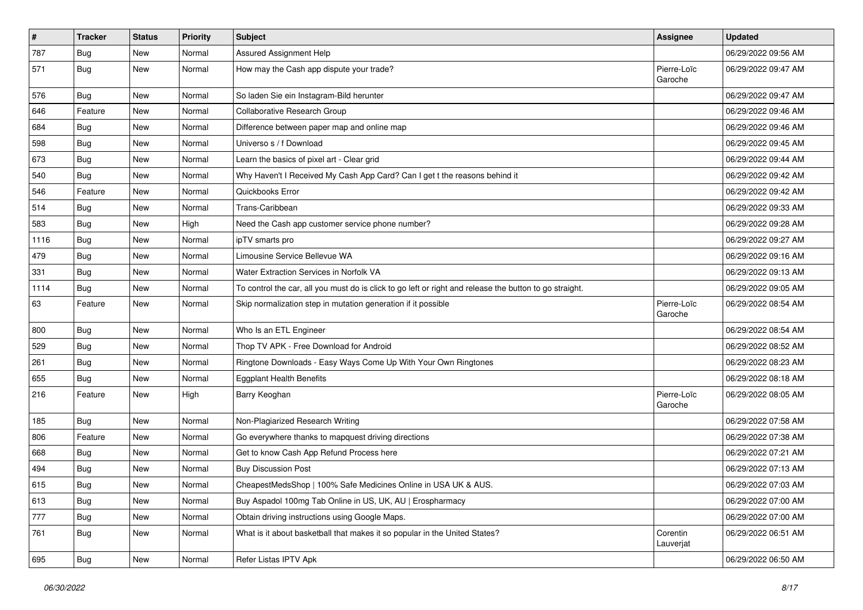| $\vert$ # | <b>Tracker</b> | <b>Status</b> | <b>Priority</b> | <b>Subject</b>                                                                                          | <b>Assignee</b>        | <b>Updated</b>      |
|-----------|----------------|---------------|-----------------|---------------------------------------------------------------------------------------------------------|------------------------|---------------------|
| 787       | <b>Bug</b>     | New           | Normal          | <b>Assured Assignment Help</b>                                                                          |                        | 06/29/2022 09:56 AM |
| 571       | <b>Bug</b>     | New           | Normal          | How may the Cash app dispute your trade?                                                                | Pierre-Loïc<br>Garoche | 06/29/2022 09:47 AM |
| 576       | <b>Bug</b>     | New           | Normal          | So laden Sie ein Instagram-Bild herunter                                                                |                        | 06/29/2022 09:47 AM |
| 646       | Feature        | New           | Normal          | Collaborative Research Group                                                                            |                        | 06/29/2022 09:46 AM |
| 684       | <b>Bug</b>     | New           | Normal          | Difference between paper map and online map                                                             |                        | 06/29/2022 09:46 AM |
| 598       | <b>Bug</b>     | New           | Normal          | Universo s / f Download                                                                                 |                        | 06/29/2022 09:45 AM |
| 673       | <b>Bug</b>     | New           | Normal          | Learn the basics of pixel art - Clear grid                                                              |                        | 06/29/2022 09:44 AM |
| 540       | <b>Bug</b>     | New           | Normal          | Why Haven't I Received My Cash App Card? Can I get t the reasons behind it                              |                        | 06/29/2022 09:42 AM |
| 546       | Feature        | New           | Normal          | Quickbooks Error                                                                                        |                        | 06/29/2022 09:42 AM |
| 514       | <b>Bug</b>     | New           | Normal          | Trans-Caribbean                                                                                         |                        | 06/29/2022 09:33 AM |
| 583       | <b>Bug</b>     | New           | High            | Need the Cash app customer service phone number?                                                        |                        | 06/29/2022 09:28 AM |
| 1116      | Bug            | New           | Normal          | ipTV smarts pro                                                                                         |                        | 06/29/2022 09:27 AM |
| 479       | <b>Bug</b>     | New           | Normal          | Limousine Service Bellevue WA                                                                           |                        | 06/29/2022 09:16 AM |
| 331       | <b>Bug</b>     | New           | Normal          | Water Extraction Services in Norfolk VA                                                                 |                        | 06/29/2022 09:13 AM |
| 1114      | Bug            | New           | Normal          | To control the car, all you must do is click to go left or right and release the button to go straight. |                        | 06/29/2022 09:05 AM |
| 63        | Feature        | New           | Normal          | Skip normalization step in mutation generation if it possible                                           | Pierre-Loïc<br>Garoche | 06/29/2022 08:54 AM |
| 800       | Bug            | New           | Normal          | Who Is an ETL Engineer                                                                                  |                        | 06/29/2022 08:54 AM |
| 529       | Bug            | New           | Normal          | Thop TV APK - Free Download for Android                                                                 |                        | 06/29/2022 08:52 AM |
| 261       | <b>Bug</b>     | New           | Normal          | Ringtone Downloads - Easy Ways Come Up With Your Own Ringtones                                          |                        | 06/29/2022 08:23 AM |
| 655       | <b>Bug</b>     | New           | Normal          | <b>Eggplant Health Benefits</b>                                                                         |                        | 06/29/2022 08:18 AM |
| 216       | Feature        | New           | High            | Barry Keoghan                                                                                           | Pierre-Loïc<br>Garoche | 06/29/2022 08:05 AM |
| 185       | Bug            | New           | Normal          | Non-Plagiarized Research Writing                                                                        |                        | 06/29/2022 07:58 AM |
| 806       | Feature        | New           | Normal          | Go everywhere thanks to mapquest driving directions                                                     |                        | 06/29/2022 07:38 AM |
| 668       | Bug            | New           | Normal          | Get to know Cash App Refund Process here                                                                |                        | 06/29/2022 07:21 AM |
| 494       | <b>Bug</b>     | New           | Normal          | <b>Buy Discussion Post</b>                                                                              |                        | 06/29/2022 07:13 AM |
| 615       | Bug            | New           | Normal          | CheapestMedsShop   100% Safe Medicines Online in USA UK & AUS.                                          |                        | 06/29/2022 07:03 AM |
| 613       | <b>Bug</b>     | New           | Normal          | Buy Aspadol 100mg Tab Online in US, UK, AU   Erospharmacy                                               |                        | 06/29/2022 07:00 AM |
| 777       | <b>Bug</b>     | New           | Normal          | Obtain driving instructions using Google Maps.                                                          |                        | 06/29/2022 07:00 AM |
| 761       | <b>Bug</b>     | New           | Normal          | What is it about basketball that makes it so popular in the United States?                              | Corentin<br>Lauverjat  | 06/29/2022 06:51 AM |
| 695       | <b>Bug</b>     | New           | Normal          | Refer Listas IPTV Apk                                                                                   |                        | 06/29/2022 06:50 AM |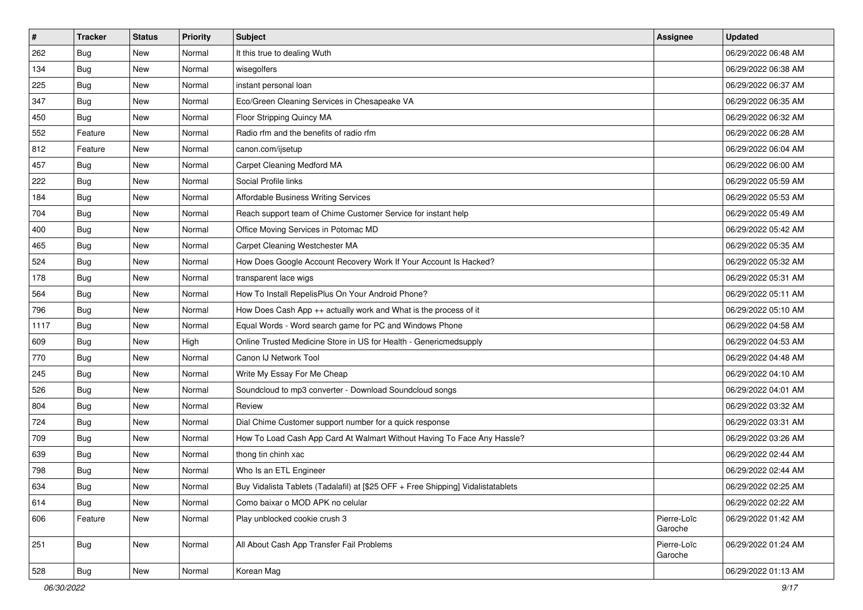| $\vert$ # | <b>Tracker</b> | <b>Status</b> | <b>Priority</b> | Subject                                                                          | <b>Assignee</b>        | <b>Updated</b>      |
|-----------|----------------|---------------|-----------------|----------------------------------------------------------------------------------|------------------------|---------------------|
| 262       | <b>Bug</b>     | New           | Normal          | It this true to dealing Wuth                                                     |                        | 06/29/2022 06:48 AM |
| 134       | <b>Bug</b>     | New           | Normal          | wisegolfers                                                                      |                        | 06/29/2022 06:38 AM |
| 225       | <b>Bug</b>     | New           | Normal          | instant personal loan                                                            |                        | 06/29/2022 06:37 AM |
| 347       | Bug            | New           | Normal          | Eco/Green Cleaning Services in Chesapeake VA                                     |                        | 06/29/2022 06:35 AM |
| 450       | Bug            | New           | Normal          | Floor Stripping Quincy MA                                                        |                        | 06/29/2022 06:32 AM |
| 552       | Feature        | New           | Normal          | Radio rfm and the benefits of radio rfm                                          |                        | 06/29/2022 06:28 AM |
| 812       | Feature        | New           | Normal          | canon.com/ijsetup                                                                |                        | 06/29/2022 06:04 AM |
| 457       | Bug            | New           | Normal          | Carpet Cleaning Medford MA                                                       |                        | 06/29/2022 06:00 AM |
| 222       | Bug            | New           | Normal          | Social Profile links                                                             |                        | 06/29/2022 05:59 AM |
| 184       | Bug            | New           | Normal          | Affordable Business Writing Services                                             |                        | 06/29/2022 05:53 AM |
| 704       | <b>Bug</b>     | New           | Normal          | Reach support team of Chime Customer Service for instant help                    |                        | 06/29/2022 05:49 AM |
| 400       | Bug            | New           | Normal          | Office Moving Services in Potomac MD                                             |                        | 06/29/2022 05:42 AM |
| 465       | <b>Bug</b>     | New           | Normal          | Carpet Cleaning Westchester MA                                                   |                        | 06/29/2022 05:35 AM |
| 524       | <b>Bug</b>     | New           | Normal          | How Does Google Account Recovery Work If Your Account Is Hacked?                 |                        | 06/29/2022 05:32 AM |
| 178       | <b>Bug</b>     | New           | Normal          | transparent lace wigs                                                            |                        | 06/29/2022 05:31 AM |
| 564       | <b>Bug</b>     | New           | Normal          | How To Install RepelisPlus On Your Android Phone?                                |                        | 06/29/2022 05:11 AM |
| 796       | <b>Bug</b>     | New           | Normal          | How Does Cash App ++ actually work and What is the process of it                 |                        | 06/29/2022 05:10 AM |
| 1117      | <b>Bug</b>     | New           | Normal          | Equal Words - Word search game for PC and Windows Phone                          |                        | 06/29/2022 04:58 AM |
| 609       | Bug            | New           | High            | Online Trusted Medicine Store in US for Health - Genericmedsupply                |                        | 06/29/2022 04:53 AM |
| 770       | <b>Bug</b>     | New           | Normal          | Canon IJ Network Tool                                                            |                        | 06/29/2022 04:48 AM |
| 245       | <b>Bug</b>     | New           | Normal          | Write My Essay For Me Cheap                                                      |                        | 06/29/2022 04:10 AM |
| 526       | <b>Bug</b>     | New           | Normal          | Soundcloud to mp3 converter - Download Soundcloud songs                          |                        | 06/29/2022 04:01 AM |
| 804       | <b>Bug</b>     | New           | Normal          | Review                                                                           |                        | 06/29/2022 03:32 AM |
| 724       | <b>Bug</b>     | New           | Normal          | Dial Chime Customer support number for a quick response                          |                        | 06/29/2022 03:31 AM |
| 709       | Bug            | New           | Normal          | How To Load Cash App Card At Walmart Without Having To Face Any Hassle?          |                        | 06/29/2022 03:26 AM |
| 639       | <b>Bug</b>     | New           | Normal          | thong tin chinh xac                                                              |                        | 06/29/2022 02:44 AM |
| 798       | <b>Bug</b>     | New           | Normal          | Who Is an ETL Engineer                                                           |                        | 06/29/2022 02:44 AM |
| 634       | Bug            | New           | Normal          | Buy Vidalista Tablets (Tadalafil) at [\$25 OFF + Free Shipping] Vidalistatablets |                        | 06/29/2022 02:25 AM |
| 614       | <b>Bug</b>     | New           | Normal          | Como baixar o MOD APK no celular                                                 |                        | 06/29/2022 02:22 AM |
| 606       | Feature        | New           | Normal          | Play unblocked cookie crush 3                                                    | Pierre-Loïc<br>Garoche | 06/29/2022 01:42 AM |
| 251       | Bug            | New           | Normal          | All About Cash App Transfer Fail Problems                                        | Pierre-Loïc<br>Garoche | 06/29/2022 01:24 AM |
| 528       | Bug            | New           | Normal          | Korean Mag                                                                       |                        | 06/29/2022 01:13 AM |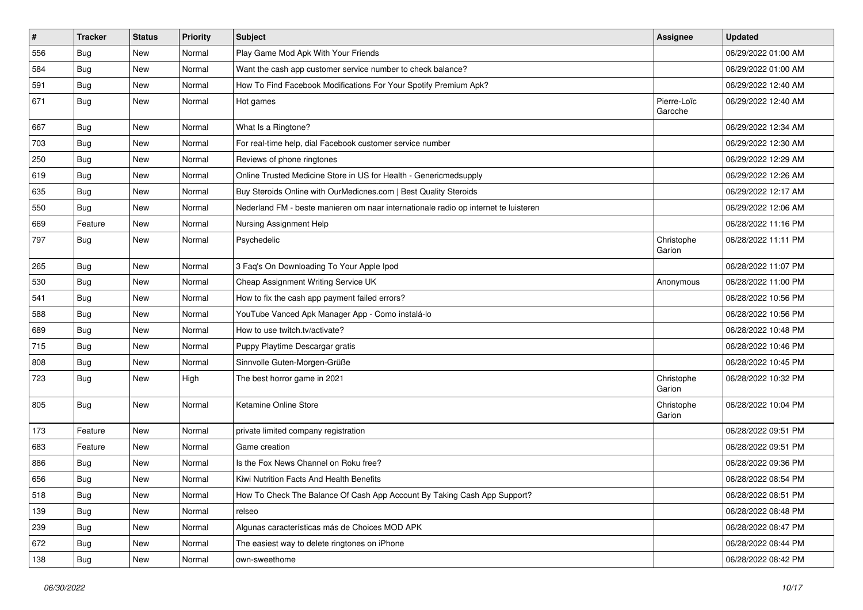| $\pmb{\#}$ | <b>Tracker</b> | <b>Status</b> | <b>Priority</b> | Subject                                                                             | <b>Assignee</b>        | <b>Updated</b>      |
|------------|----------------|---------------|-----------------|-------------------------------------------------------------------------------------|------------------------|---------------------|
| 556        | <b>Bug</b>     | New           | Normal          | Play Game Mod Apk With Your Friends                                                 |                        | 06/29/2022 01:00 AM |
| 584        | Bug            | <b>New</b>    | Normal          | Want the cash app customer service number to check balance?                         |                        | 06/29/2022 01:00 AM |
| 591        | Bug            | New           | Normal          | How To Find Facebook Modifications For Your Spotify Premium Apk?                    |                        | 06/29/2022 12:40 AM |
| 671        | Bug            | New           | Normal          | Hot games                                                                           | Pierre-Loïc<br>Garoche | 06/29/2022 12:40 AM |
| 667        | Bug            | New           | Normal          | What Is a Ringtone?                                                                 |                        | 06/29/2022 12:34 AM |
| 703        | <b>Bug</b>     | New           | Normal          | For real-time help, dial Facebook customer service number                           |                        | 06/29/2022 12:30 AM |
| 250        | Bug            | New           | Normal          | Reviews of phone ringtones                                                          |                        | 06/29/2022 12:29 AM |
| 619        | <b>Bug</b>     | New           | Normal          | Online Trusted Medicine Store in US for Health - Genericmedsupply                   |                        | 06/29/2022 12:26 AM |
| 635        | Bug            | New           | Normal          | Buy Steroids Online with OurMedicnes.com   Best Quality Steroids                    |                        | 06/29/2022 12:17 AM |
| 550        | <b>Bug</b>     | New           | Normal          | Nederland FM - beste manieren om naar internationale radio op internet te luisteren |                        | 06/29/2022 12:06 AM |
| 669        | Feature        | New           | Normal          | Nursing Assignment Help                                                             |                        | 06/28/2022 11:16 PM |
| 797        | <b>Bug</b>     | New           | Normal          | Psychedelic                                                                         | Christophe<br>Garion   | 06/28/2022 11:11 PM |
| 265        | <b>Bug</b>     | New           | Normal          | 3 Faq's On Downloading To Your Apple Ipod                                           |                        | 06/28/2022 11:07 PM |
| 530        | <b>Bug</b>     | New           | Normal          | Cheap Assignment Writing Service UK                                                 | Anonymous              | 06/28/2022 11:00 PM |
| 541        | Bug            | New           | Normal          | How to fix the cash app payment failed errors?                                      |                        | 06/28/2022 10:56 PM |
| 588        | Bug            | New           | Normal          | YouTube Vanced Apk Manager App - Como instalá-lo                                    |                        | 06/28/2022 10:56 PM |
| 689        | Bug            | New           | Normal          | How to use twitch.tv/activate?                                                      |                        | 06/28/2022 10:48 PM |
| 715        | Bug            | New           | Normal          | Puppy Playtime Descargar gratis                                                     |                        | 06/28/2022 10:46 PM |
| 808        | Bug            | New           | Normal          | Sinnvolle Guten-Morgen-Grüße                                                        |                        | 06/28/2022 10:45 PM |
| 723        | <b>Bug</b>     | New           | High            | The best horror game in 2021                                                        | Christophe<br>Garion   | 06/28/2022 10:32 PM |
| 805        | <b>Bug</b>     | New           | Normal          | Ketamine Online Store                                                               | Christophe<br>Garion   | 06/28/2022 10:04 PM |
| 173        | Feature        | New           | Normal          | private limited company registration                                                |                        | 06/28/2022 09:51 PM |
| 683        | Feature        | New           | Normal          | Game creation                                                                       |                        | 06/28/2022 09:51 PM |
| 886        | <b>Bug</b>     | New           | Normal          | Is the Fox News Channel on Roku free?                                               |                        | 06/28/2022 09:36 PM |
| 656        | <b>Bug</b>     | New           | Normal          | Kiwi Nutrition Facts And Health Benefits                                            |                        | 06/28/2022 08:54 PM |
| 518        | <b>Bug</b>     | New           | Normal          | How To Check The Balance Of Cash App Account By Taking Cash App Support?            |                        | 06/28/2022 08:51 PM |
| 139        | <b>Bug</b>     | New           | Normal          | relseo                                                                              |                        | 06/28/2022 08:48 PM |
| 239        | <b>Bug</b>     | New           | Normal          | Algunas características más de Choices MOD APK                                      |                        | 06/28/2022 08:47 PM |
| 672        | <b>Bug</b>     | New           | Normal          | The easiest way to delete ringtones on iPhone                                       |                        | 06/28/2022 08:44 PM |
| 138        | Bug            | New           | Normal          | own-sweethome                                                                       |                        | 06/28/2022 08:42 PM |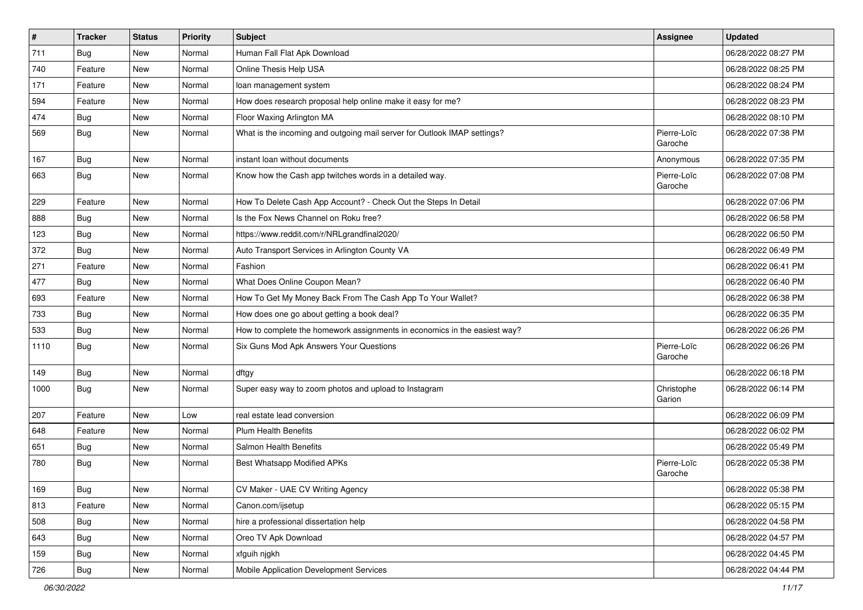| $\vert$ # | <b>Tracker</b> | <b>Status</b> | <b>Priority</b> | <b>Subject</b>                                                            | <b>Assignee</b>        | <b>Updated</b>      |
|-----------|----------------|---------------|-----------------|---------------------------------------------------------------------------|------------------------|---------------------|
| 711       | <b>Bug</b>     | New           | Normal          | Human Fall Flat Apk Download                                              |                        | 06/28/2022 08:27 PM |
| 740       | Feature        | New           | Normal          | Online Thesis Help USA                                                    |                        | 06/28/2022 08:25 PM |
| 171       | Feature        | New           | Normal          | loan management system                                                    |                        | 06/28/2022 08:24 PM |
| 594       | Feature        | New           | Normal          | How does research proposal help online make it easy for me?               |                        | 06/28/2022 08:23 PM |
| 474       | Bug            | New           | Normal          | Floor Waxing Arlington MA                                                 |                        | 06/28/2022 08:10 PM |
| 569       | Bug            | New           | Normal          | What is the incoming and outgoing mail server for Outlook IMAP settings?  | Pierre-Loïc<br>Garoche | 06/28/2022 07:38 PM |
| 167       | Bug            | New           | Normal          | instant loan without documents                                            | Anonymous              | 06/28/2022 07:35 PM |
| 663       | Bug            | New           | Normal          | Know how the Cash app twitches words in a detailed way.                   | Pierre-Loïc<br>Garoche | 06/28/2022 07:08 PM |
| 229       | Feature        | New           | Normal          | How To Delete Cash App Account? - Check Out the Steps In Detail           |                        | 06/28/2022 07:06 PM |
| 888       | <b>Bug</b>     | New           | Normal          | Is the Fox News Channel on Roku free?                                     |                        | 06/28/2022 06:58 PM |
| 123       | Bug            | New           | Normal          | https://www.reddit.com/r/NRLgrandfinal2020/                               |                        | 06/28/2022 06:50 PM |
| 372       | <b>Bug</b>     | New           | Normal          | Auto Transport Services in Arlington County VA                            |                        | 06/28/2022 06:49 PM |
| 271       | Feature        | New           | Normal          | Fashion                                                                   |                        | 06/28/2022 06:41 PM |
| 477       | Bug            | New           | Normal          | What Does Online Coupon Mean?                                             |                        | 06/28/2022 06:40 PM |
| 693       | Feature        | New           | Normal          | How To Get My Money Back From The Cash App To Your Wallet?                |                        | 06/28/2022 06:38 PM |
| 733       | <b>Bug</b>     | New           | Normal          | How does one go about getting a book deal?                                |                        | 06/28/2022 06:35 PM |
| 533       | <b>Bug</b>     | New           | Normal          | How to complete the homework assignments in economics in the easiest way? |                        | 06/28/2022 06:26 PM |
| 1110      | <b>Bug</b>     | New           | Normal          | Six Guns Mod Apk Answers Your Questions                                   | Pierre-Loïc<br>Garoche | 06/28/2022 06:26 PM |
| 149       | Bug            | New           | Normal          | dftgy                                                                     |                        | 06/28/2022 06:18 PM |
| 1000      | <b>Bug</b>     | New           | Normal          | Super easy way to zoom photos and upload to Instagram                     | Christophe<br>Garion   | 06/28/2022 06:14 PM |
| 207       | Feature        | New           | Low             | real estate lead conversion                                               |                        | 06/28/2022 06:09 PM |
| 648       | Feature        | New           | Normal          | <b>Plum Health Benefits</b>                                               |                        | 06/28/2022 06:02 PM |
| 651       | <b>Bug</b>     | New           | Normal          | Salmon Health Benefits                                                    |                        | 06/28/2022 05:49 PM |
| 780       | <b>Bug</b>     | New           | Normal          | <b>Best Whatsapp Modified APKs</b>                                        | Pierre-Loïc<br>Garoche | 06/28/2022 05:38 PM |
| 169       | Bug            | New           | Normal          | CV Maker - UAE CV Writing Agency                                          |                        | 06/28/2022 05:38 PM |
| 813       | Feature        | New           | Normal          | Canon.com/ijsetup                                                         |                        | 06/28/2022 05:15 PM |
| 508       | <b>Bug</b>     | New           | Normal          | hire a professional dissertation help                                     |                        | 06/28/2022 04:58 PM |
| 643       | <b>Bug</b>     | New           | Normal          | Oreo TV Apk Download                                                      |                        | 06/28/2022 04:57 PM |
| 159       | Bug            | New           | Normal          | xfguih njgkh                                                              |                        | 06/28/2022 04:45 PM |
| 726       | Bug            | New           | Normal          | Mobile Application Development Services                                   |                        | 06/28/2022 04:44 PM |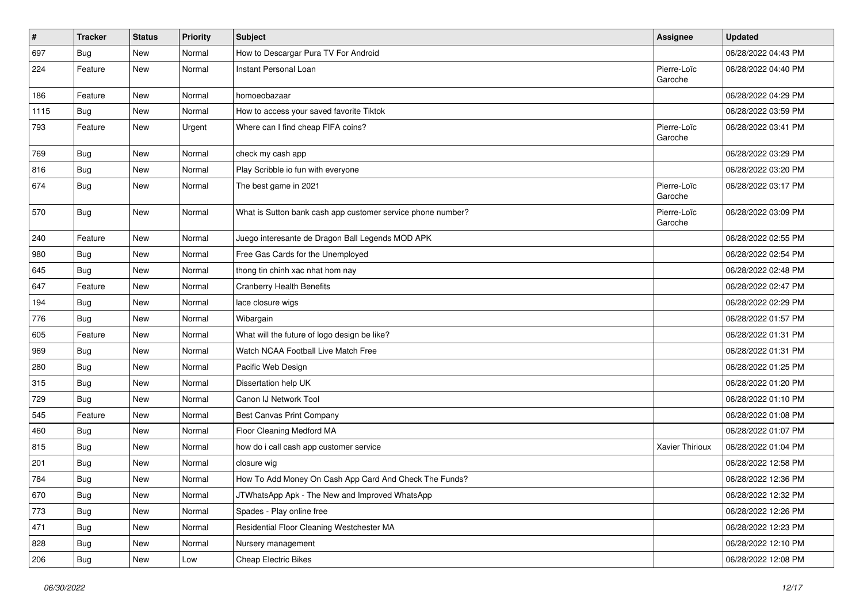| $\vert$ # | <b>Tracker</b> | <b>Status</b> | <b>Priority</b> | <b>Subject</b>                                              | Assignee               | <b>Updated</b>      |
|-----------|----------------|---------------|-----------------|-------------------------------------------------------------|------------------------|---------------------|
| 697       | <b>Bug</b>     | New           | Normal          | How to Descargar Pura TV For Android                        |                        | 06/28/2022 04:43 PM |
| 224       | Feature        | New           | Normal          | Instant Personal Loan                                       | Pierre-Loïc<br>Garoche | 06/28/2022 04:40 PM |
| 186       | Feature        | New           | Normal          | homoeobazaar                                                |                        | 06/28/2022 04:29 PM |
| 1115      | Bug            | New           | Normal          | How to access your saved favorite Tiktok                    |                        | 06/28/2022 03:59 PM |
| 793       | Feature        | New           | Urgent          | Where can I find cheap FIFA coins?                          | Pierre-Loïc<br>Garoche | 06/28/2022 03:41 PM |
| 769       | <b>Bug</b>     | New           | Normal          | check my cash app                                           |                        | 06/28/2022 03:29 PM |
| 816       | <b>Bug</b>     | New           | Normal          | Play Scribble io fun with everyone                          |                        | 06/28/2022 03:20 PM |
| 674       | <b>Bug</b>     | New           | Normal          | The best game in 2021                                       | Pierre-Loïc<br>Garoche | 06/28/2022 03:17 PM |
| 570       | <b>Bug</b>     | New           | Normal          | What is Sutton bank cash app customer service phone number? | Pierre-Loïc<br>Garoche | 06/28/2022 03:09 PM |
| 240       | Feature        | New           | Normal          | Juego interesante de Dragon Ball Legends MOD APK            |                        | 06/28/2022 02:55 PM |
| 980       | Bug            | New           | Normal          | Free Gas Cards for the Unemployed                           |                        | 06/28/2022 02:54 PM |
| 645       | Bug            | New           | Normal          | thong tin chinh xac nhat hom nay                            |                        | 06/28/2022 02:48 PM |
| 647       | Feature        | New           | Normal          | <b>Cranberry Health Benefits</b>                            |                        | 06/28/2022 02:47 PM |
| 194       | Bug            | New           | Normal          | lace closure wigs                                           |                        | 06/28/2022 02:29 PM |
| 776       | <b>Bug</b>     | New           | Normal          | Wibargain                                                   |                        | 06/28/2022 01:57 PM |
| 605       | Feature        | New           | Normal          | What will the future of logo design be like?                |                        | 06/28/2022 01:31 PM |
| 969       | Bug            | New           | Normal          | Watch NCAA Football Live Match Free                         |                        | 06/28/2022 01:31 PM |
| 280       | Bug            | New           | Normal          | Pacific Web Design                                          |                        | 06/28/2022 01:25 PM |
| 315       | Bug            | New           | Normal          | Dissertation help UK                                        |                        | 06/28/2022 01:20 PM |
| 729       | Bug            | New           | Normal          | Canon IJ Network Tool                                       |                        | 06/28/2022 01:10 PM |
| 545       | Feature        | New           | Normal          | Best Canvas Print Company                                   |                        | 06/28/2022 01:08 PM |
| 460       | Bug            | New           | Normal          | Floor Cleaning Medford MA                                   |                        | 06/28/2022 01:07 PM |
| 815       | Bug            | New           | Normal          | how do i call cash app customer service                     | Xavier Thirioux        | 06/28/2022 01:04 PM |
| 201       | <b>Bug</b>     | New           | Normal          | closure wig                                                 |                        | 06/28/2022 12:58 PM |
| 784       | <b>Bug</b>     | New           | Normal          | How To Add Money On Cash App Card And Check The Funds?      |                        | 06/28/2022 12:36 PM |
| 670       | <b>Bug</b>     | New           | Normal          | JTWhatsApp Apk - The New and Improved WhatsApp              |                        | 06/28/2022 12:32 PM |
| 773       | <b>Bug</b>     | New           | Normal          | Spades - Play online free                                   |                        | 06/28/2022 12:26 PM |
| 471       | <b>Bug</b>     | New           | Normal          | Residential Floor Cleaning Westchester MA                   |                        | 06/28/2022 12:23 PM |
| 828       | Bug            | New           | Normal          | Nursery management                                          |                        | 06/28/2022 12:10 PM |
| 206       | Bug            | New           | Low             | <b>Cheap Electric Bikes</b>                                 |                        | 06/28/2022 12:08 PM |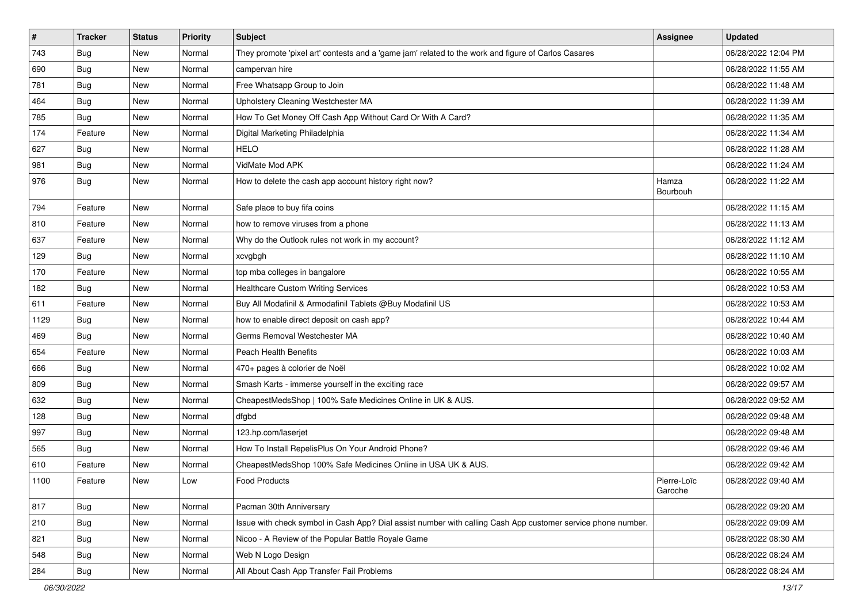| $\vert$ # | <b>Tracker</b> | <b>Status</b> | <b>Priority</b> | <b>Subject</b>                                                                                               | <b>Assignee</b>        | <b>Updated</b>      |
|-----------|----------------|---------------|-----------------|--------------------------------------------------------------------------------------------------------------|------------------------|---------------------|
| 743       | <b>Bug</b>     | New           | Normal          | They promote 'pixel art' contests and a 'game jam' related to the work and figure of Carlos Casares          |                        | 06/28/2022 12:04 PM |
| 690       | <b>Bug</b>     | New           | Normal          | campervan hire                                                                                               |                        | 06/28/2022 11:55 AM |
| 781       | Bug            | New           | Normal          | Free Whatsapp Group to Join                                                                                  |                        | 06/28/2022 11:48 AM |
| 464       | Bug            | New           | Normal          | Upholstery Cleaning Westchester MA                                                                           |                        | 06/28/2022 11:39 AM |
| 785       | <b>Bug</b>     | <b>New</b>    | Normal          | How To Get Money Off Cash App Without Card Or With A Card?                                                   |                        | 06/28/2022 11:35 AM |
| 174       | Feature        | New           | Normal          | Digital Marketing Philadelphia                                                                               |                        | 06/28/2022 11:34 AM |
| 627       | <b>Bug</b>     | New           | Normal          | <b>HELO</b>                                                                                                  |                        | 06/28/2022 11:28 AM |
| 981       | Bug            | <b>New</b>    | Normal          | VidMate Mod APK                                                                                              |                        | 06/28/2022 11:24 AM |
| 976       | <b>Bug</b>     | New           | Normal          | How to delete the cash app account history right now?                                                        | Hamza<br>Bourbouh      | 06/28/2022 11:22 AM |
| 794       | Feature        | New           | Normal          | Safe place to buy fifa coins                                                                                 |                        | 06/28/2022 11:15 AM |
| 810       | Feature        | New           | Normal          | how to remove viruses from a phone                                                                           |                        | 06/28/2022 11:13 AM |
| 637       | Feature        | New           | Normal          | Why do the Outlook rules not work in my account?                                                             |                        | 06/28/2022 11:12 AM |
| 129       | <b>Bug</b>     | New           | Normal          | xcvgbgh                                                                                                      |                        | 06/28/2022 11:10 AM |
| 170       | Feature        | New           | Normal          | top mba colleges in bangalore                                                                                |                        | 06/28/2022 10:55 AM |
| 182       | <b>Bug</b>     | New           | Normal          | <b>Healthcare Custom Writing Services</b>                                                                    |                        | 06/28/2022 10:53 AM |
| 611       | Feature        | New           | Normal          | Buy All Modafinil & Armodafinil Tablets @Buy Modafinil US                                                    |                        | 06/28/2022 10:53 AM |
| 1129      | <b>Bug</b>     | New           | Normal          | how to enable direct deposit on cash app?                                                                    |                        | 06/28/2022 10:44 AM |
| 469       | <b>Bug</b>     | New           | Normal          | Germs Removal Westchester MA                                                                                 |                        | 06/28/2022 10:40 AM |
| 654       | Feature        | <b>New</b>    | Normal          | <b>Peach Health Benefits</b>                                                                                 |                        | 06/28/2022 10:03 AM |
| 666       | Bug            | New           | Normal          | 470+ pages à colorier de Noël                                                                                |                        | 06/28/2022 10:02 AM |
| 809       | <b>Bug</b>     | New           | Normal          | Smash Karts - immerse yourself in the exciting race                                                          |                        | 06/28/2022 09:57 AM |
| 632       | Bug            | New           | Normal          | CheapestMedsShop   100% Safe Medicines Online in UK & AUS.                                                   |                        | 06/28/2022 09:52 AM |
| 128       | Bug            | New           | Normal          | dfgbd                                                                                                        |                        | 06/28/2022 09:48 AM |
| 997       | <b>Bug</b>     | New           | Normal          | 123.hp.com/laserjet                                                                                          |                        | 06/28/2022 09:48 AM |
| 565       | <b>Bug</b>     | New           | Normal          | How To Install RepelisPlus On Your Android Phone?                                                            |                        | 06/28/2022 09:46 AM |
| 610       | Feature        | New           | Normal          | CheapestMedsShop 100% Safe Medicines Online in USA UK & AUS.                                                 |                        | 06/28/2022 09:42 AM |
| 1100      | Feature        | New           | Low             | <b>Food Products</b>                                                                                         | Pierre-Loïc<br>Garoche | 06/28/2022 09:40 AM |
| 817       | Bug            | New           | Normal          | Pacman 30th Anniversary                                                                                      |                        | 06/28/2022 09:20 AM |
| 210       | <b>Bug</b>     | New           | Normal          | Issue with check symbol in Cash App? Dial assist number with calling Cash App customer service phone number. |                        | 06/28/2022 09:09 AM |
| 821       | <b>Bug</b>     | New           | Normal          | Nicoo - A Review of the Popular Battle Royale Game                                                           |                        | 06/28/2022 08:30 AM |
| 548       | <b>Bug</b>     | New           | Normal          | Web N Logo Design                                                                                            |                        | 06/28/2022 08:24 AM |
| 284       | <b>Bug</b>     | New           | Normal          | All About Cash App Transfer Fail Problems                                                                    |                        | 06/28/2022 08:24 AM |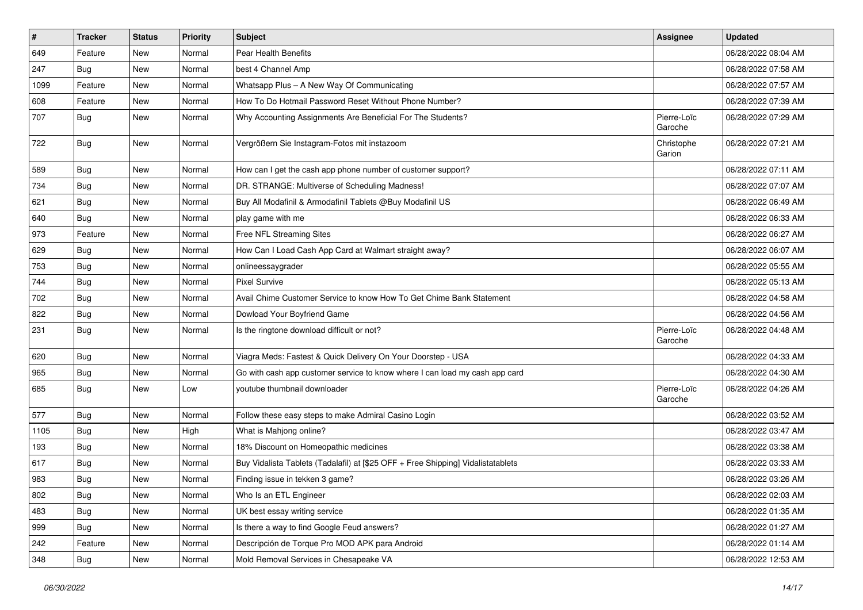| $\vert$ # | <b>Tracker</b> | <b>Status</b> | <b>Priority</b> | <b>Subject</b>                                                                   | <b>Assignee</b>        | <b>Updated</b>      |
|-----------|----------------|---------------|-----------------|----------------------------------------------------------------------------------|------------------------|---------------------|
| 649       | Feature        | New           | Normal          | Pear Health Benefits                                                             |                        | 06/28/2022 08:04 AM |
| 247       | Bug            | <b>New</b>    | Normal          | best 4 Channel Amp                                                               |                        | 06/28/2022 07:58 AM |
| 1099      | Feature        | New           | Normal          | Whatsapp Plus - A New Way Of Communicating                                       |                        | 06/28/2022 07:57 AM |
| 608       | Feature        | New           | Normal          | How To Do Hotmail Password Reset Without Phone Number?                           |                        | 06/28/2022 07:39 AM |
| 707       | Bug            | New           | Normal          | Why Accounting Assignments Are Beneficial For The Students?                      | Pierre-Loïc<br>Garoche | 06/28/2022 07:29 AM |
| 722       | <b>Bug</b>     | New           | Normal          | Vergrößern Sie Instagram-Fotos mit instazoom                                     | Christophe<br>Garion   | 06/28/2022 07:21 AM |
| 589       | Bug            | New           | Normal          | How can I get the cash app phone number of customer support?                     |                        | 06/28/2022 07:11 AM |
| 734       | Bug            | <b>New</b>    | Normal          | DR. STRANGE: Multiverse of Scheduling Madness!                                   |                        | 06/28/2022 07:07 AM |
| 621       | Bug            | New           | Normal          | Buy All Modafinil & Armodafinil Tablets @Buy Modafinil US                        |                        | 06/28/2022 06:49 AM |
| 640       | <b>Bug</b>     | New           | Normal          | play game with me                                                                |                        | 06/28/2022 06:33 AM |
| 973       | Feature        | New           | Normal          | Free NFL Streaming Sites                                                         |                        | 06/28/2022 06:27 AM |
| 629       | <b>Bug</b>     | New           | Normal          | How Can I Load Cash App Card at Walmart straight away?                           |                        | 06/28/2022 06:07 AM |
| 753       | <b>Bug</b>     | New           | Normal          | onlineessaygrader                                                                |                        | 06/28/2022 05:55 AM |
| 744       | <b>Bug</b>     | New           | Normal          | <b>Pixel Survive</b>                                                             |                        | 06/28/2022 05:13 AM |
| 702       | <b>Bug</b>     | New           | Normal          | Avail Chime Customer Service to know How To Get Chime Bank Statement             |                        | 06/28/2022 04:58 AM |
| 822       | Bug            | New           | Normal          | Dowload Your Boyfriend Game                                                      |                        | 06/28/2022 04:56 AM |
| 231       | <b>Bug</b>     | New           | Normal          | Is the ringtone download difficult or not?                                       | Pierre-Loïc<br>Garoche | 06/28/2022 04:48 AM |
| 620       | Bug            | <b>New</b>    | Normal          | Viagra Meds: Fastest & Quick Delivery On Your Doorstep - USA                     |                        | 06/28/2022 04:33 AM |
| 965       | <b>Bug</b>     | New           | Normal          | Go with cash app customer service to know where I can load my cash app card      |                        | 06/28/2022 04:30 AM |
| 685       | <b>Bug</b>     | New           | Low             | voutube thumbnail downloader                                                     | Pierre-Loïc<br>Garoche | 06/28/2022 04:26 AM |
| 577       | Bug            | New           | Normal          | Follow these easy steps to make Admiral Casino Login                             |                        | 06/28/2022 03:52 AM |
| 1105      | <b>Bug</b>     | New           | High            | What is Mahjong online?                                                          |                        | 06/28/2022 03:47 AM |
| 193       | <b>Bug</b>     | New           | Normal          | 18% Discount on Homeopathic medicines                                            |                        | 06/28/2022 03:38 AM |
| 617       | <b>Bug</b>     | New           | Normal          | Buy Vidalista Tablets (Tadalafil) at [\$25 OFF + Free Shipping] Vidalistatablets |                        | 06/28/2022 03:33 AM |
| 983       | <b>Bug</b>     | New           | Normal          | Finding issue in tekken 3 game?                                                  |                        | 06/28/2022 03:26 AM |
| 802       | <b>Bug</b>     | New           | Normal          | Who Is an ETL Engineer                                                           |                        | 06/28/2022 02:03 AM |
| 483       | <b>Bug</b>     | New           | Normal          | UK best essay writing service                                                    |                        | 06/28/2022 01:35 AM |
| 999       | <b>Bug</b>     | New           | Normal          | Is there a way to find Google Feud answers?                                      |                        | 06/28/2022 01:27 AM |
| 242       | Feature        | New           | Normal          | Descripción de Torque Pro MOD APK para Android                                   |                        | 06/28/2022 01:14 AM |
| 348       | <b>Bug</b>     | New           | Normal          | Mold Removal Services in Chesapeake VA                                           |                        | 06/28/2022 12:53 AM |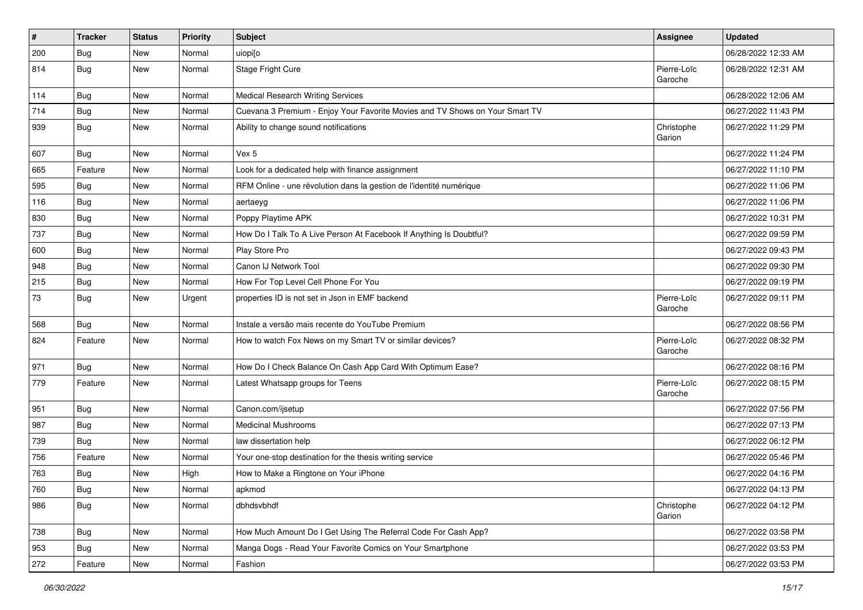| $\pmb{\sharp}$ | <b>Tracker</b> | <b>Status</b> | <b>Priority</b> | <b>Subject</b>                                                               | Assignee               | <b>Updated</b>      |
|----------------|----------------|---------------|-----------------|------------------------------------------------------------------------------|------------------------|---------------------|
| 200            | <b>Bug</b>     | New           | Normal          | uiopi[o                                                                      |                        | 06/28/2022 12:33 AM |
| 814            | <b>Bug</b>     | New           | Normal          | Stage Fright Cure                                                            | Pierre-Loïc<br>Garoche | 06/28/2022 12:31 AM |
| 114            | Bug            | New           | Normal          | <b>Medical Research Writing Services</b>                                     |                        | 06/28/2022 12:06 AM |
| 714            | Bug            | New           | Normal          | Cuevana 3 Premium - Enjoy Your Favorite Movies and TV Shows on Your Smart TV |                        | 06/27/2022 11:43 PM |
| 939            | Bug            | New           | Normal          | Ability to change sound notifications                                        | Christophe<br>Garion   | 06/27/2022 11:29 PM |
| 607            | <b>Bug</b>     | New           | Normal          | Vex 5                                                                        |                        | 06/27/2022 11:24 PM |
| 665            | Feature        | New           | Normal          | Look for a dedicated help with finance assignment                            |                        | 06/27/2022 11:10 PM |
| 595            | <b>Bug</b>     | New           | Normal          | RFM Online - une révolution dans la gestion de l'identité numérique          |                        | 06/27/2022 11:06 PM |
| 116            | <b>Bug</b>     | New           | Normal          | aertaeyg                                                                     |                        | 06/27/2022 11:06 PM |
| 830            | <b>Bug</b>     | New           | Normal          | Poppy Playtime APK                                                           |                        | 06/27/2022 10:31 PM |
| 737            | Bug            | New           | Normal          | How Do I Talk To A Live Person At Facebook If Anything Is Doubtful?          |                        | 06/27/2022 09:59 PM |
| 600            | <b>Bug</b>     | New           | Normal          | Play Store Pro                                                               |                        | 06/27/2022 09:43 PM |
| 948            | Bug            | New           | Normal          | Canon IJ Network Tool                                                        |                        | 06/27/2022 09:30 PM |
| 215            | Bug            | <b>New</b>    | Normal          | How For Top Level Cell Phone For You                                         |                        | 06/27/2022 09:19 PM |
| 73             | <b>Bug</b>     | New           | Urgent          | properties ID is not set in Json in EMF backend                              | Pierre-Loïc<br>Garoche | 06/27/2022 09:11 PM |
| 568            | Bug            | New           | Normal          | Instale a versão mais recente do YouTube Premium                             |                        | 06/27/2022 08:56 PM |
| 824            | Feature        | New           | Normal          | How to watch Fox News on my Smart TV or similar devices?                     | Pierre-Loïc<br>Garoche | 06/27/2022 08:32 PM |
| 971            | Bug            | New           | Normal          | How Do I Check Balance On Cash App Card With Optimum Ease?                   |                        | 06/27/2022 08:16 PM |
| 779            | Feature        | New           | Normal          | Latest Whatsapp groups for Teens                                             | Pierre-Loïc<br>Garoche | 06/27/2022 08:15 PM |
| 951            | <b>Bug</b>     | New           | Normal          | Canon.com/ijsetup                                                            |                        | 06/27/2022 07:56 PM |
| 987            | Bug            | New           | Normal          | <b>Medicinal Mushrooms</b>                                                   |                        | 06/27/2022 07:13 PM |
| 739            | Bug            | New           | Normal          | law dissertation help                                                        |                        | 06/27/2022 06:12 PM |
| 756            | Feature        | New           | Normal          | Your one-stop destination for the thesis writing service                     |                        | 06/27/2022 05:46 PM |
| 763            | <b>Bug</b>     | New           | High            | How to Make a Ringtone on Your iPhone                                        |                        | 06/27/2022 04:16 PM |
| 760            | Bug            | New           | Normal          | apkmod                                                                       |                        | 06/27/2022 04:13 PM |
| 986            | Bug            | New           | Normal          | dbhdsvbhdf                                                                   | Christophe<br>Garion   | 06/27/2022 04:12 PM |
| 738            | Bug            | New           | Normal          | How Much Amount Do I Get Using The Referral Code For Cash App?               |                        | 06/27/2022 03:58 PM |
| 953            | Bug            | New           | Normal          | Manga Dogs - Read Your Favorite Comics on Your Smartphone                    |                        | 06/27/2022 03:53 PM |
| 272            | Feature        | New           | Normal          | Fashion                                                                      |                        | 06/27/2022 03:53 PM |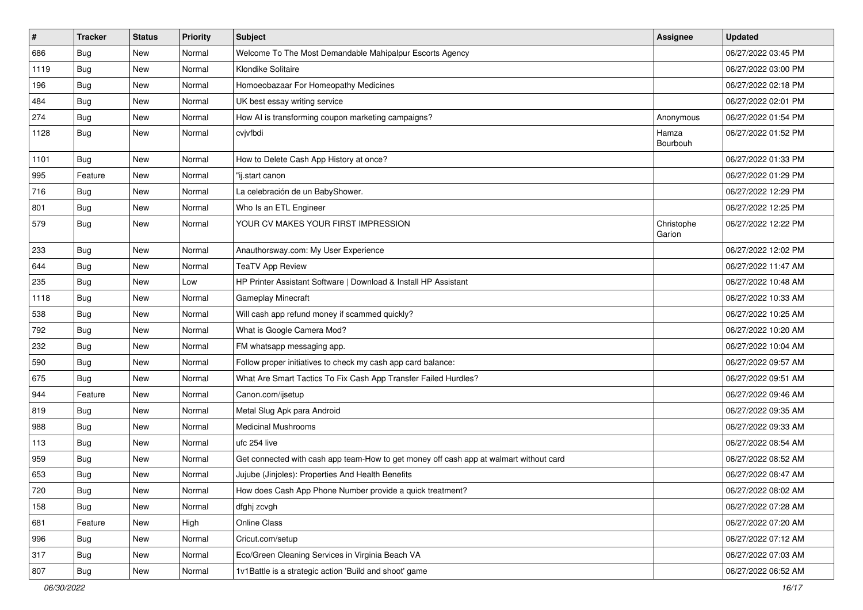| #    | <b>Tracker</b> | <b>Status</b> | Priority | Subject                                                                                | <b>Assignee</b>      | <b>Updated</b>      |
|------|----------------|---------------|----------|----------------------------------------------------------------------------------------|----------------------|---------------------|
| 686  | <b>Bug</b>     | New           | Normal   | Welcome To The Most Demandable Mahipalpur Escorts Agency                               |                      | 06/27/2022 03:45 PM |
| 1119 | Bug            | New           | Normal   | Klondike Solitaire                                                                     |                      | 06/27/2022 03:00 PM |
| 196  | Bug            | New           | Normal   | Homoeobazaar For Homeopathy Medicines                                                  |                      | 06/27/2022 02:18 PM |
| 484  | <b>Bug</b>     | New           | Normal   | UK best essay writing service                                                          |                      | 06/27/2022 02:01 PM |
| 274  | Bug            | New           | Normal   | How AI is transforming coupon marketing campaigns?                                     | Anonymous            | 06/27/2022 01:54 PM |
| 1128 | Bug            | New           | Normal   | cvjvfbdi                                                                               | Hamza<br>Bourbouh    | 06/27/2022 01:52 PM |
| 1101 | Bug            | New           | Normal   | How to Delete Cash App History at once?                                                |                      | 06/27/2022 01:33 PM |
| 995  | Feature        | New           | Normal   | "ij.start canon                                                                        |                      | 06/27/2022 01:29 PM |
| 716  | <b>Bug</b>     | New           | Normal   | La celebración de un BabyShower.                                                       |                      | 06/27/2022 12:29 PM |
| 801  | <b>Bug</b>     | New           | Normal   | Who Is an ETL Engineer                                                                 |                      | 06/27/2022 12:25 PM |
| 579  | <b>Bug</b>     | New           | Normal   | YOUR CV MAKES YOUR FIRST IMPRESSION                                                    | Christophe<br>Garion | 06/27/2022 12:22 PM |
| 233  | Bug            | New           | Normal   | Anauthorsway.com: My User Experience                                                   |                      | 06/27/2022 12:02 PM |
| 644  | <b>Bug</b>     | New           | Normal   | <b>TeaTV App Review</b>                                                                |                      | 06/27/2022 11:47 AM |
| 235  | Bug            | New           | Low      | HP Printer Assistant Software   Download & Install HP Assistant                        |                      | 06/27/2022 10:48 AM |
| 1118 | <b>Bug</b>     | New           | Normal   | Gameplay Minecraft                                                                     |                      | 06/27/2022 10:33 AM |
| 538  | Bug            | New           | Normal   | Will cash app refund money if scammed quickly?                                         |                      | 06/27/2022 10:25 AM |
| 792  | <b>Bug</b>     | New           | Normal   | What is Google Camera Mod?                                                             |                      | 06/27/2022 10:20 AM |
| 232  | <b>Bug</b>     | New           | Normal   | FM whatsapp messaging app.                                                             |                      | 06/27/2022 10:04 AM |
| 590  | <b>Bug</b>     | New           | Normal   | Follow proper initiatives to check my cash app card balance:                           |                      | 06/27/2022 09:57 AM |
| 675  | Bug            | New           | Normal   | What Are Smart Tactics To Fix Cash App Transfer Failed Hurdles?                        |                      | 06/27/2022 09:51 AM |
| 944  | Feature        | New           | Normal   | Canon.com/ijsetup                                                                      |                      | 06/27/2022 09:46 AM |
| 819  | Bug            | New           | Normal   | Metal Slug Apk para Android                                                            |                      | 06/27/2022 09:35 AM |
| 988  | <b>Bug</b>     | New           | Normal   | <b>Medicinal Mushrooms</b>                                                             |                      | 06/27/2022 09:33 AM |
| 113  | <b>Bug</b>     | New           | Normal   | ufc 254 live                                                                           |                      | 06/27/2022 08:54 AM |
| 959  | <b>Bug</b>     | New           | Normal   | Get connected with cash app team-How to get money off cash app at walmart without card |                      | 06/27/2022 08:52 AM |
| 653  | <b>Bug</b>     | New           | Normal   | Jujube (Jinjoles): Properties And Health Benefits                                      |                      | 06/27/2022 08:47 AM |
| 720  | Bug            | New           | Normal   | How does Cash App Phone Number provide a quick treatment?                              |                      | 06/27/2022 08:02 AM |
| 158  | Bug            | New           | Normal   | dfghj zcvgh                                                                            |                      | 06/27/2022 07:28 AM |
| 681  | Feature        | New           | High     | Online Class                                                                           |                      | 06/27/2022 07:20 AM |
| 996  | Bug            | New           | Normal   | Cricut.com/setup                                                                       |                      | 06/27/2022 07:12 AM |
| 317  | <b>Bug</b>     | New           | Normal   | Eco/Green Cleaning Services in Virginia Beach VA                                       |                      | 06/27/2022 07:03 AM |
| 807  | <b>Bug</b>     | New           | Normal   | 1v1Battle is a strategic action 'Build and shoot' game                                 |                      | 06/27/2022 06:52 AM |